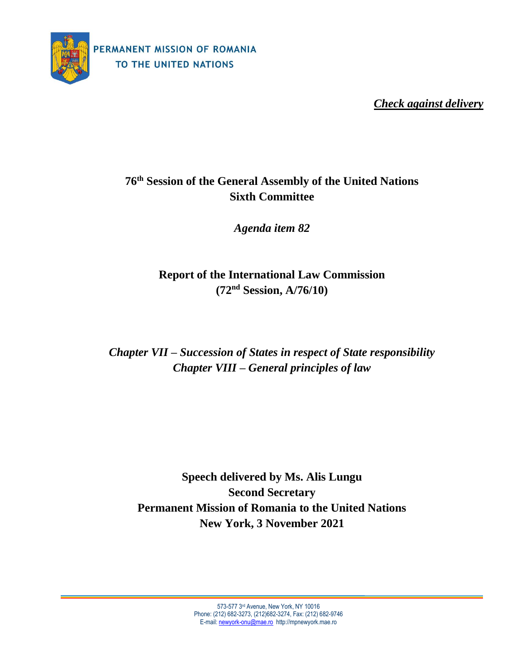

*Check against delivery*

## **76 th Session of the General Assembly of the United Nations Sixth Committee**

*Agenda item 82*

**Report of the International Law Commission (72 nd Session, A/76/10)**

*Chapter VII – Succession of States in respect of State responsibility Chapter VIII – General principles of law*

**Speech delivered by Ms. Alis Lungu Second Secretary Permanent Mission of Romania to the United Nations New York, 3 November 2021**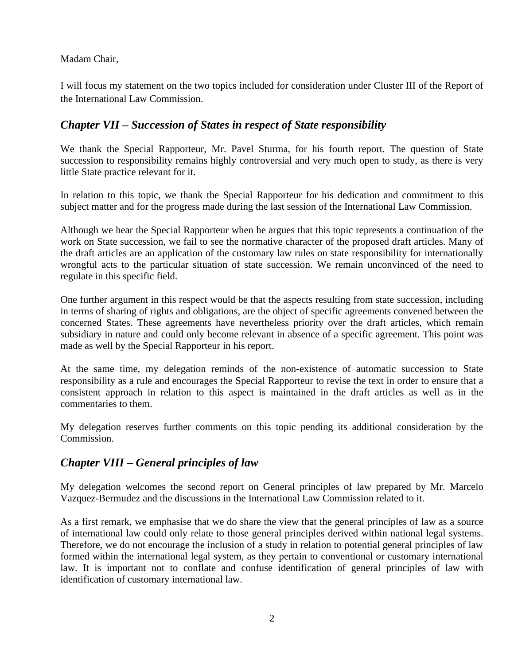## Madam Chair,

I will focus my statement on the two topics included for consideration under Cluster III of the Report of the International Law Commission.

## *Chapter VII – Succession of States in respect of State responsibility*

We thank the Special Rapporteur, Mr. Pavel Sturma, for his fourth report. The question of State succession to responsibility remains highly controversial and very much open to study, as there is very little State practice relevant for it.

In relation to this topic, we thank the Special Rapporteur for his dedication and commitment to this subject matter and for the progress made during the last session of the International Law Commission.

Although we hear the Special Rapporteur when he argues that this topic represents a continuation of the work on State succession, we fail to see the normative character of the proposed draft articles. Many of the draft articles are an application of the customary law rules on state responsibility for internationally wrongful acts to the particular situation of state succession. We remain unconvinced of the need to regulate in this specific field.

One further argument in this respect would be that the aspects resulting from state succession, including in terms of sharing of rights and obligations, are the object of specific agreements convened between the concerned States. These agreements have nevertheless priority over the draft articles, which remain subsidiary in nature and could only become relevant in absence of a specific agreement. This point was made as well by the Special Rapporteur in his report.

At the same time, my delegation reminds of the non-existence of automatic succession to State responsibility as a rule and encourages the Special Rapporteur to revise the text in order to ensure that a consistent approach in relation to this aspect is maintained in the draft articles as well as in the commentaries to them.

My delegation reserves further comments on this topic pending its additional consideration by the Commission.

## *Chapter VIII – General principles of law*

My delegation welcomes the second report on General principles of law prepared by Mr. Marcelo Vazquez-Bermudez and the discussions in the International Law Commission related to it.

As a first remark, we emphasise that we do share the view that the general principles of law as a source of international law could only relate to those general principles derived within national legal systems. Therefore, we do not encourage the inclusion of a study in relation to potential general principles of law formed within the international legal system, as they pertain to conventional or customary international law. It is important not to conflate and confuse identification of general principles of law with identification of customary international law.